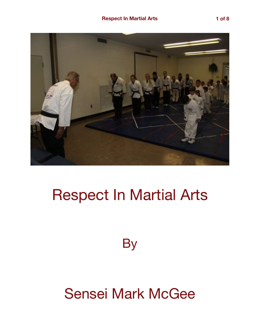

# Respect In Martial Arts

**By** 

## Sensei Mark McGee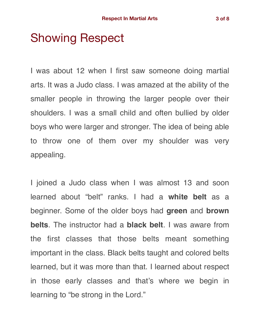## Showing Respect

I was about 12 when I first saw someone doing martial arts. It was a Judo class. I was amazed at the ability of the smaller people in throwing the larger people over their shoulders. I was a small child and often bullied by older boys who were larger and stronger. The idea of being able to throw one of them over my shoulder was very appealing.

I joined a Judo class when I was almost 13 and soon learned about "belt" ranks. I had a **white belt** as a beginner. Some of the older boys had **green** and **brown belts**. The instructor had a **black belt**. I was aware from the first classes that those belts meant something important in the class. Black belts taught and colored belts learned, but it was more than that. I learned about respect in those early classes and that's where we begin in learning to "be strong in the Lord."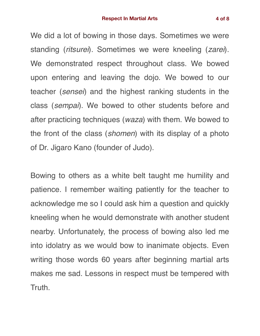We did a lot of bowing in those days. Sometimes we were standing (*ritsurei*). Sometimes we were kneeling (*zarei*). We demonstrated respect throughout class. We bowed upon entering and leaving the dojo. We bowed to our teacher (*sensei*) and the highest ranking students in the class (*sempai*). We bowed to other students before and after practicing techniques (*waza*) with them. We bowed to the front of the class (*shomen*) with its display of a photo of Dr. Jigaro Kano (founder of Judo).

Bowing to others as a white belt taught me humility and patience. I remember waiting patiently for the teacher to acknowledge me so I could ask him a question and quickly kneeling when he would demonstrate with another student nearby. Unfortunately, the process of bowing also led me into idolatry as we would bow to inanimate objects. Even writing those words 60 years after beginning martial arts makes me sad. Lessons in respect must be tempered with Truth.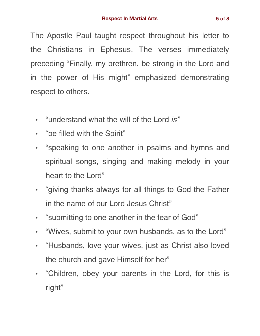The Apostle Paul taught respect throughout his letter to the Christians in Ephesus. The verses immediately preceding "Finally, my brethren, be strong in the Lord and in the power of His might" emphasized demonstrating respect to others.

- "understand what the will of the Lord *is"*
- "be filled with the Spirit"
- "speaking to one another in psalms and hymns and spiritual songs, singing and making melody in your heart to the Lord"
- "giving thanks always for all things to God the Father in the name of our Lord Jesus Christ"
- "submitting to one another in the fear of God"
- "Wives, submit to your own husbands, as to the Lord"
- "Husbands, love your wives, just as Christ also loved the church and gave Himself for her"
- "Children, obey your parents in the Lord, for this is right"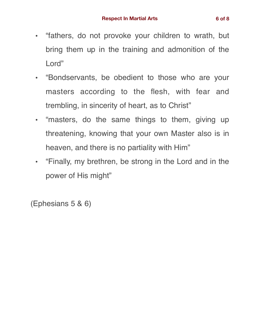- "fathers, do not provoke your children to wrath, but bring them up in the training and admonition of the Lord"
- "Bondservants, be obedient to those who are your masters according to the flesh, with fear and trembling, in sincerity of heart, as to Christ"
- "masters, do the same things to them, giving up threatening, knowing that your own Master also is in heaven, and there is no partiality with Him"
- "Finally, my brethren, be strong in the Lord and in the power of His might"

(Ephesians 5 & 6)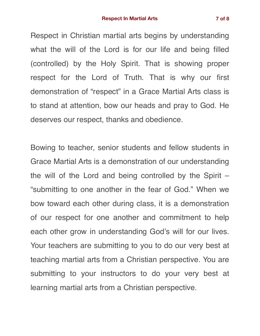Respect in Christian martial arts begins by understanding what the will of the Lord is for our life and being filled (controlled) by the Holy Spirit. That is showing proper respect for the Lord of Truth. That is why our first demonstration of "respect" in a Grace Martial Arts class is to stand at attention, bow our heads and pray to God. He deserves our respect, thanks and obedience.

Bowing to teacher, senior students and fellow students in Grace Martial Arts is a demonstration of our understanding the will of the Lord and being controlled by the Spirit – "submitting to one another in the fear of God." When we bow toward each other during class, it is a demonstration of our respect for one another and commitment to help each other grow in understanding God's will for our lives. Your teachers are submitting to you to do our very best at teaching martial arts from a Christian perspective. You are submitting to your instructors to do your very best at learning martial arts from a Christian perspective.